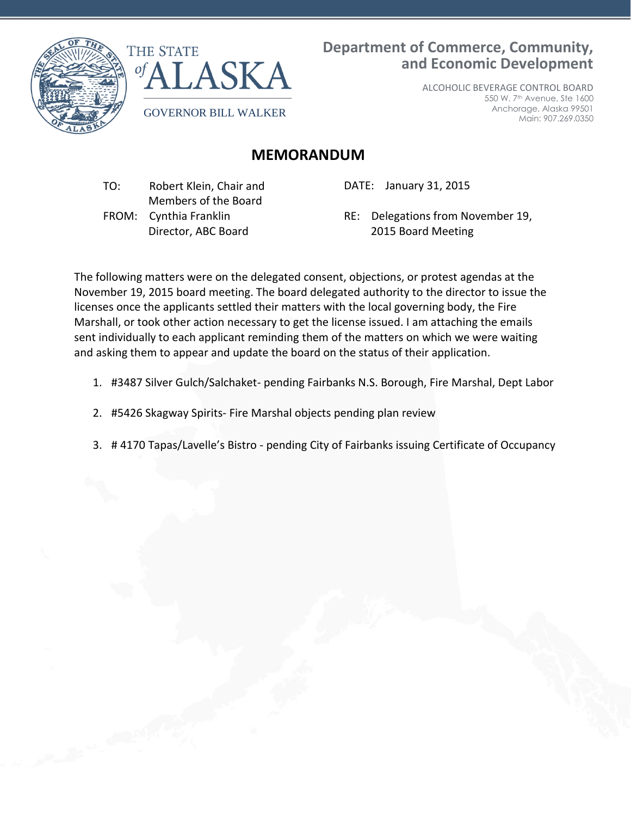



**Department of Commerce, Community, and Economic Development**

> ALCOHOLIC BEVERAGE CONTROL BOARD 550 W. 7th Avenue, Ste 1600 Anchorage, Alaska 99501 Main: 907.269.0350

## **MEMORANDUM**

 TO: Robert Klein, Chair and Members of the Board FROM: Cynthia Franklin Director, ABC Board

DATE: January 31, 2015

RE: Delegations from November 19, 2015 Board Meeting

The following matters were on the delegated consent, objections, or protest agendas at the November 19, 2015 board meeting. The board delegated authority to the director to issue the licenses once the applicants settled their matters with the local governing body, the Fire Marshall, or took other action necessary to get the license issued. I am attaching the emails sent individually to each applicant reminding them of the matters on which we were waiting and asking them to appear and update the board on the status of their application.

- 1. #3487 Silver Gulch/Salchaket- pending Fairbanks N.S. Borough, Fire Marshal, Dept Labor
- 2. #5426 Skagway Spirits- Fire Marshal objects pending plan review
- 3. # 4170 Tapas/Lavelle's Bistro pending City of Fairbanks issuing Certificate of Occupancy